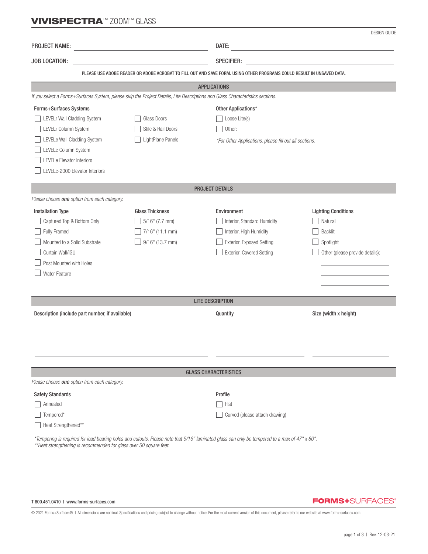## VIVISPECTRA™ ZOOM™ GLASS

|                                                                                                                               |                        |                                            | <b>DESIGN GUIDE</b>                                                                                                                                                                                                            |  |  |  |  |
|-------------------------------------------------------------------------------------------------------------------------------|------------------------|--------------------------------------------|--------------------------------------------------------------------------------------------------------------------------------------------------------------------------------------------------------------------------------|--|--|--|--|
| <b>PROJECT NAME:</b><br><u> 1980 - Johann Barn, fransk politik (d. 1980)</u>                                                  |                        | DATE:                                      | <u> 1989 - Johann Barn, mars ann an t-Amhain Aonaich an t-Aonaich an t-Aonaich an t-Aonaich an t-Aonaich an t-Aon</u>                                                                                                          |  |  |  |  |
| JOB LOCATION:                                                                                                                 |                        | <b>SPECIFIER:</b>                          |                                                                                                                                                                                                                                |  |  |  |  |
|                                                                                                                               |                        |                                            | PLEASE USE ADOBE READER OR ADOBE ACROBAT TO FILL OUT AND SAVE FORM. USING OTHER PROGRAMS COULD RESULT IN UNSAVED DATA.                                                                                                         |  |  |  |  |
| <b>APPLICATIONS</b>                                                                                                           |                        |                                            |                                                                                                                                                                                                                                |  |  |  |  |
| If you select a Forms+Surfaces System, please skip the Project Details, Lite Descriptions and Glass Characteristics sections. |                        |                                            |                                                                                                                                                                                                                                |  |  |  |  |
| Forms+Surfaces Systems                                                                                                        |                        |                                            | Other Applications*                                                                                                                                                                                                            |  |  |  |  |
| LEVELr Wall Cladding System                                                                                                   | Glass Doors            | Loose Lite(s)                              |                                                                                                                                                                                                                                |  |  |  |  |
| LEVELr Column System                                                                                                          | Stile & Rail Doors     |                                            | Other: contract the contract of the contract of the contract of the contract of the contract of the contract of the contract of the contract of the contract of the contract of the contract of the contract of the contract o |  |  |  |  |
| LEVELe Wall Cladding System                                                                                                   | LightPlane Panels      |                                            | *For Other Applications, please fill out all sections.                                                                                                                                                                         |  |  |  |  |
| LEVELe Column System                                                                                                          |                        |                                            |                                                                                                                                                                                                                                |  |  |  |  |
| LEVELe Elevator Interiors                                                                                                     |                        |                                            |                                                                                                                                                                                                                                |  |  |  |  |
| LEVELc-2000 Elevator Interiors                                                                                                |                        |                                            |                                                                                                                                                                                                                                |  |  |  |  |
|                                                                                                                               |                        |                                            |                                                                                                                                                                                                                                |  |  |  |  |
| Please choose one option from each category.                                                                                  |                        | <b>PROJECT DETAILS</b>                     |                                                                                                                                                                                                                                |  |  |  |  |
|                                                                                                                               | <b>Glass Thickness</b> |                                            |                                                                                                                                                                                                                                |  |  |  |  |
| <b>Installation Type</b><br>Captured Top & Bottom Only                                                                        | $5/16$ " (7.7 mm)      | Environment<br>Interior, Standard Humidity | <b>Lighting Conditions</b><br>Natural                                                                                                                                                                                          |  |  |  |  |
| Fully Framed                                                                                                                  | 7/16" (11.1 mm)        | Interior, High Humidity                    | <b>Backlit</b>                                                                                                                                                                                                                 |  |  |  |  |
| Mounted to a Solid Substrate                                                                                                  | 9/16" (13.7 mm)        | Exterior, Exposed Setting                  | Spotlight                                                                                                                                                                                                                      |  |  |  |  |
| Curtain Wall/IGU                                                                                                              |                        | Exterior, Covered Setting                  | Other (please provide details):                                                                                                                                                                                                |  |  |  |  |
| Post Mounted with Holes                                                                                                       |                        |                                            |                                                                                                                                                                                                                                |  |  |  |  |
| <b>Water Feature</b>                                                                                                          |                        |                                            |                                                                                                                                                                                                                                |  |  |  |  |
|                                                                                                                               |                        |                                            |                                                                                                                                                                                                                                |  |  |  |  |
|                                                                                                                               |                        |                                            |                                                                                                                                                                                                                                |  |  |  |  |
|                                                                                                                               |                        | <b>LITE DESCRIPTION</b>                    |                                                                                                                                                                                                                                |  |  |  |  |
| Description (include part number, if available)                                                                               |                        | Quantity                                   | Size (width x height)                                                                                                                                                                                                          |  |  |  |  |
|                                                                                                                               |                        |                                            |                                                                                                                                                                                                                                |  |  |  |  |
|                                                                                                                               |                        |                                            |                                                                                                                                                                                                                                |  |  |  |  |
|                                                                                                                               |                        |                                            |                                                                                                                                                                                                                                |  |  |  |  |
|                                                                                                                               |                        |                                            |                                                                                                                                                                                                                                |  |  |  |  |
|                                                                                                                               |                        | <b>GLASS CHARACTERISTICS</b>               |                                                                                                                                                                                                                                |  |  |  |  |
| Please choose one option from each category.                                                                                  |                        |                                            |                                                                                                                                                                                                                                |  |  |  |  |
| <b>Safety Standards</b>                                                                                                       |                        | Profile                                    |                                                                                                                                                                                                                                |  |  |  |  |
| Annealed                                                                                                                      |                        | Flat                                       |                                                                                                                                                                                                                                |  |  |  |  |
| Tempered*                                                                                                                     |                        | Curved (please attach drawing)             |                                                                                                                                                                                                                                |  |  |  |  |
| Heat Strengthened**                                                                                                           |                        |                                            |                                                                                                                                                                                                                                |  |  |  |  |

 *\*Tempering is required for load bearing holes and cutouts. Please note that 5/16" laminated glass can only be tempered to a max of 47" x 80". \*\*Heat strengthening is recommended for glass over 50 square feet.*

#### T 800.451.0410 | www.forms-surfaces.com

### **FORMS+**SURFACES®

© 2021 Forms+Surfaces® | All dimensions are nominal. Specifications and pricing subject to change without notice. For the most current version of this document, please refer to our website at www.forms-surfaces.com.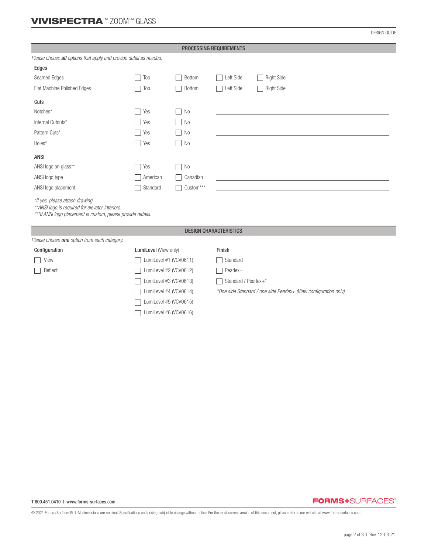# VIVISPECTRA™ ZOOM™ GLASS

DESIGN GUIDE

| PROCESSING REQUIREMENTS                                                                                                                              |                        |                |                                                                   |                   |  |  |  |
|------------------------------------------------------------------------------------------------------------------------------------------------------|------------------------|----------------|-------------------------------------------------------------------|-------------------|--|--|--|
| Please choose all options that apply and provide detail as needed.                                                                                   |                        |                |                                                                   |                   |  |  |  |
| Edges                                                                                                                                                |                        |                |                                                                   |                   |  |  |  |
| Seamed Edges                                                                                                                                         | Top                    | Bottom         | Left Side                                                         | <b>Right Side</b> |  |  |  |
| Flat Machine Polished Edges                                                                                                                          | Top                    | <b>Bottom</b>  | Left Side                                                         | <b>Right Side</b> |  |  |  |
| Cuts                                                                                                                                                 |                        |                |                                                                   |                   |  |  |  |
| Notches*                                                                                                                                             | Yes                    | No             |                                                                   |                   |  |  |  |
| Internal Cutouts*                                                                                                                                    | Yes                    | No             |                                                                   |                   |  |  |  |
| Pattern Cuts*                                                                                                                                        | Yes                    | <b>No</b>      |                                                                   |                   |  |  |  |
| $Holes^*$                                                                                                                                            | Yes                    | No             |                                                                   |                   |  |  |  |
| <b>ANSI</b>                                                                                                                                          |                        |                |                                                                   |                   |  |  |  |
| ANSI logo on glass**                                                                                                                                 | Yes                    | N <sub>0</sub> |                                                                   |                   |  |  |  |
| ANSI logo type                                                                                                                                       | American               | Canadian       |                                                                   |                   |  |  |  |
| ANSI logo placement                                                                                                                                  | Standard               | Custom***      |                                                                   |                   |  |  |  |
| *If yes, please attach drawing.<br>** ANSI logo is required for elevator interiors.<br>*** If ANSI logo placement is custom, please provide details. |                        |                |                                                                   |                   |  |  |  |
| <b>DESIGN CHARACTERISTICS</b>                                                                                                                        |                        |                |                                                                   |                   |  |  |  |
| Please choose one option from each category.                                                                                                         |                        |                |                                                                   |                   |  |  |  |
| Configuration                                                                                                                                        | LumiLevel (View only)  |                | Finish                                                            |                   |  |  |  |
| View                                                                                                                                                 | LumiLevel #1 (VCV0611) |                | Standard                                                          |                   |  |  |  |
| Reflect                                                                                                                                              | LumiLevel #2 (VCV0612) |                | Pearlex+                                                          |                   |  |  |  |
|                                                                                                                                                      | LumiLevel #3 (VCV0613) |                | Standard / Pearlex+*                                              |                   |  |  |  |
|                                                                                                                                                      | LumiLevel #4 (VCV0614) |                | *One side Standard / one side Pearlex+ (View configuration only). |                   |  |  |  |
|                                                                                                                                                      | LumiLevel #5 (VCV0615) |                |                                                                   |                   |  |  |  |
|                                                                                                                                                      | LumiLevel #6 (VCV0616) |                |                                                                   |                   |  |  |  |

### **FORMS+**SURFACES®

© 2021 Forms+Surfaces® | All dimensions are nominal. Specifications and pricing subject to change without notice. For the most current version of this document, please refer to our website at www.forms-surfaces.com.